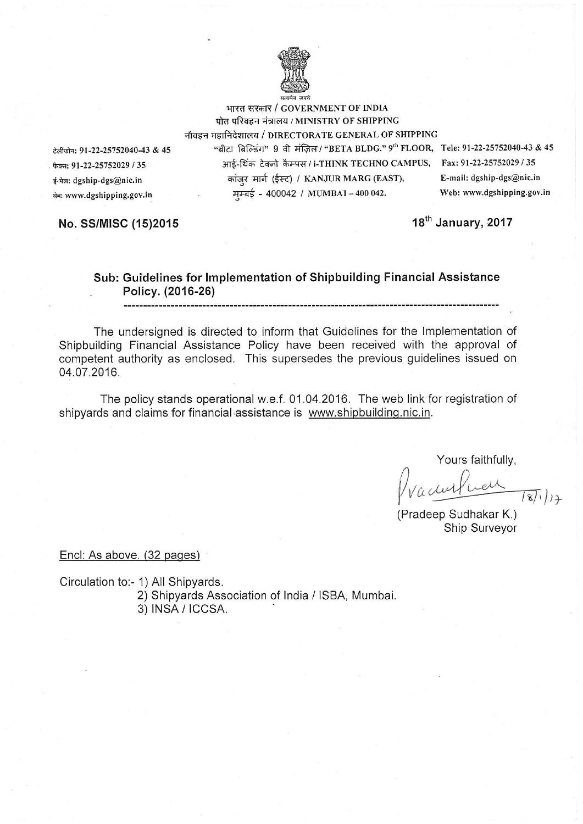

भारत सरकार / GOVERNMENT OF INDIA पोत परिवहन मंत्रालय / MINISTRY OF SHIPPING नौवहन महानिदेशालय / DIRECTORATE GENERAL OF SHIPPING

<del>टेलीफोन: 91-22-25752040-43 & 45</del> "बीटा बिल्डिंग" 9 वी मंज़िल / "BETA BLDG." 9<sup>th</sup> FLOOR, Tele: 91-22-25752040-43 & 45<br>अर्मार्क- अर्मार्क-शिक्र टेकनो कैम्पस / i-THINK TECHNO CAMPUS. Fax: 91-22-25752029 / 35 फैक्स: 91-22-25752029 / 35 अर्ह-थिंक टेक्नो कैम्पस / i-THINK TECHNO CAMPUS, {-+dr dgship-dgs@nic.in q;i;I{ 8it'a (f€) / KANJUR MARG (EAST), E-mail: dgship-dgs@nic.in  $\frac{1}{4}$  a www.dgshipping.gov.in  $\frac{1}{4}$  +  $\frac{1}{4}$  +  $\frac{1}{4}$  +  $\frac{1}{4}$  +  $\frac{1}{4}$  +  $\frac{1}{4}$  +  $\frac{1}{4}$  +  $\frac{1}{4}$  +  $\frac{1}{4}$  +  $\frac{1}{4}$  +  $\frac{1}{4}$  +  $\frac{1}{4}$  +  $\frac{1}{4}$  +  $\frac{1}{4}$  +  $\frac{1}{4}$  +  $\frac{1}{$ 

No. SS/MISC (15)2015 18th January, 2017

#### Sub: Guidelines for lmplementation of Shipbuilding Financial Assistance Policy. (2016-26)

The undersigned is directed to inform that Guidelines for the lmplementation of Shipbuilding Financial Assistance Policy have been received with the approval of competent authority as enclosed. This supersedes the previous guidelines issued on 04.07.2016.

The policy stands operational w.e.f. 01.04.2016. The web link for registration of shipyards and claims for financial assistance is www.shipbuilding.nic.in.

Yours faithfully,

 $\sqrt{\frac{4\pi\alpha+1-\alpha}{18}}$ 

(Pradeep Sudhakar K.)<br>Ship Surveyor

Encl: As above. (32 pages)

Circulation to:- 1) All Shipyards. 2) Shipyards Association of India / ISBA, Mumbai. 3) |NSA / |CCSA.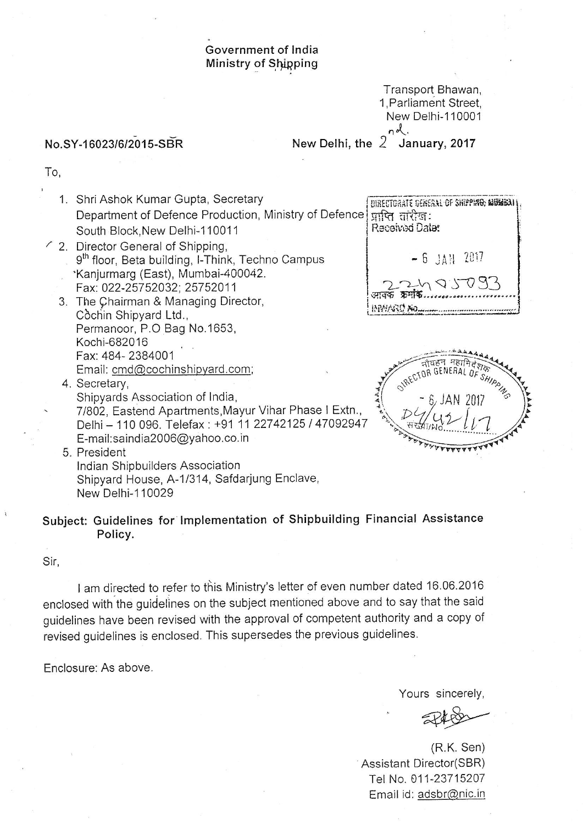#### Government of lndia Ministry of Shipping

Transport, Bhawan, <sup>1</sup>, Parliament Street, New Delhi-110001  $nd.$ 

No.SY-16023/6/2015-SBR

New Delhi, the  $2$  January, 2017

To,

- 1. Shri Ashok Kumar Gupta, Secretary Department of Defence Production, Ministry of Defence South Block,New Delhi-1 10011 BIRECTORATE DENERAL OF 3HIPPING, MUMBAI  $\overline{M}$ पि तारीख: Received Date:
- ' 2. Director General of Shipping, 9<sup>th</sup> floor, Beta building, I-Think, Techno Campus 'Kanjurmarg (East), Mumbai-440042. <sup>F</sup>ax: 022-257 52032: 257 520 <sup>1</sup><sup>1</sup>
	- 3. The Qhairman & Managing Director, Còchin Shipyard Ltd., Permanoor, P.O Bag No.1653, Kochi-682016 Fax: 484- 2384001 Email: cmd@cochinshipyard.com;
	- 4. Secretary, Shipyards Association of India, ' 71802, Eastend Apartments,Mayur Vihar Phase I Extn., Delhi - 110 096. Telefax : +91 11 22742125 I <sup>47092947</sup> E-mail:saindia2006@yahoo.co.in

 $-6$   $JAN$  2017  $22483033$ INVERSIO NO...

5. President lndian Shipbuilders Association Shipyard House, A-1/314, Safdarjung Enclave, New Delhi-110029

# subject: Guidelines for lmplementation of shipbuilding Financial Assistance Policy.

Sir,

I am directed to refer to this Ministry's letter of even number dated 16.06.2016 enclosed with the guidelines on the subject mentioned above and to say that the said guidelines have been revised with the approval of competent authority and a copy of revised guidelines is enclosed. This supersedes the previous guidelines.

Enclosure: As above.

Yours sincerely,

 $748$ 

(R.K. Sen) Assistant Director(SBR) Tel No. 011-23715207 Email id: adsbr@nic.in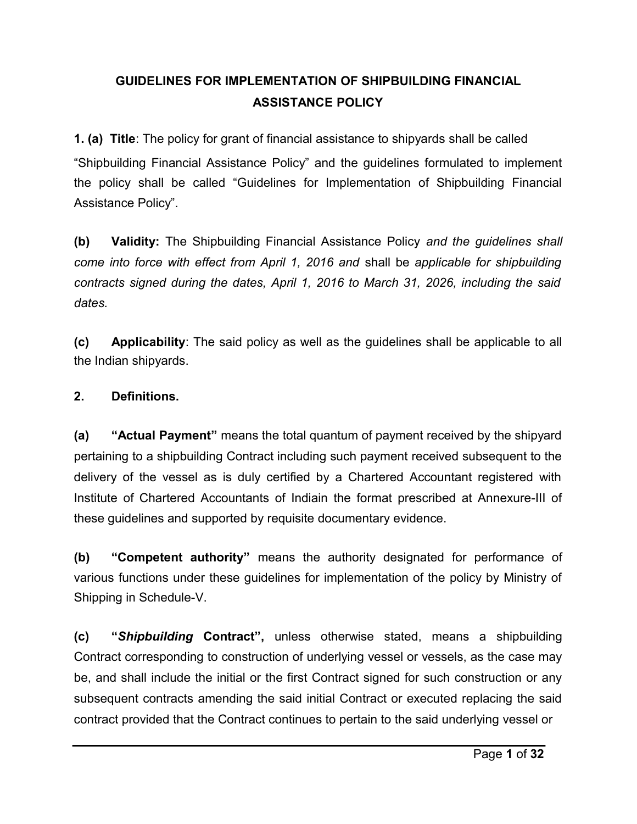# **GUIDELINES FOR IMPLEMENTATION OF SHIPBUILDING FINANCIAL ASSISTANCE POLICY**

**1. (a) Title**: The policy for grant of financial assistance to shipyards shall be called "Shipbuilding Financial Assistance Policy" and the guidelines formulated to implement the policy shall be called "Guidelines for Implementation of Shipbuilding Financial Assistance Policy".

**(b) Validity:** The Shipbuilding Financial Assistance Policy *and the guidelines shall come into force with effect from April 1, 2016 and* shall be *applicable for shipbuilding contracts signed during the dates, April 1, 2016 to March 31, 2026, including the said dates.* 

**(c) Applicability**: The said policy as well as the guidelines shall be applicable to all the Indian shipyards.

#### **2. Definitions.**

**(a) "Actual Payment"** means the total quantum of payment received by the shipyard pertaining to a shipbuilding Contract including such payment received subsequent to the delivery of the vessel as is duly certified by a Chartered Accountant registered with Institute of Chartered Accountants of Indiain the format prescribed at Annexure-III of these guidelines and supported by requisite documentary evidence.

**(b) "Competent authority"** means the authority designated for performance of various functions under these guidelines for implementation of the policy by Ministry of Shipping in Schedule-V.

**(c) "***Shipbuilding* **Contract",** unless otherwise stated, means a shipbuilding Contract corresponding to construction of underlying vessel or vessels, as the case may be, and shall include the initial or the first Contract signed for such construction or any subsequent contracts amending the said initial Contract or executed replacing the said contract provided that the Contract continues to pertain to the said underlying vessel or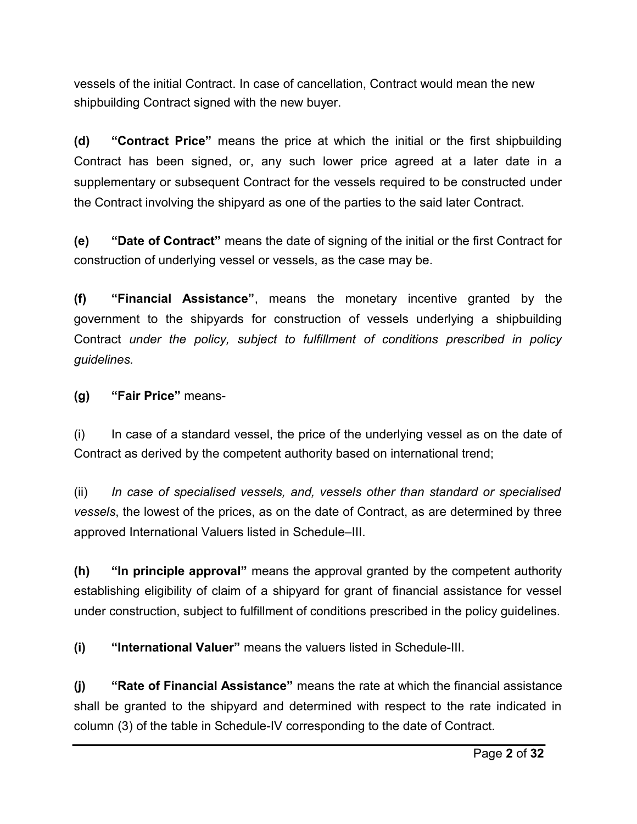vessels of the initial Contract. In case of cancellation, Contract would mean the new shipbuilding Contract signed with the new buyer.

**(d) "Contract Price"** means the price at which the initial or the first shipbuilding Contract has been signed, or, any such lower price agreed at a later date in a supplementary or subsequent Contract for the vessels required to be constructed under the Contract involving the shipyard as one of the parties to the said later Contract.

**(e) "Date of Contract"** means the date of signing of the initial or the first Contract for construction of underlying vessel or vessels, as the case may be.

**(f) "Financial Assistance"**, means the monetary incentive granted by the government to the shipyards for construction of vessels underlying a shipbuilding Contract *under the policy, subject to fulfillment of conditions prescribed in policy guidelines.* 

**(g) "Fair Price"** means-

(i) In case of a standard vessel, the price of the underlying vessel as on the date of Contract as derived by the competent authority based on international trend;

(ii) *In case of specialised vessels, and, vessels other than standard or specialised vessels*, the lowest of the prices, as on the date of Contract, as are determined by three approved International Valuers listed in Schedule–III.

**(h) "In principle approval"** means the approval granted by the competent authority establishing eligibility of claim of a shipyard for grant of financial assistance for vessel under construction, subject to fulfillment of conditions prescribed in the policy guidelines.

**(i) "International Valuer"** means the valuers listed in Schedule-III.

**(j) "Rate of Financial Assistance"** means the rate at which the financial assistance shall be granted to the shipyard and determined with respect to the rate indicated in column (3) of the table in Schedule-IV corresponding to the date of Contract.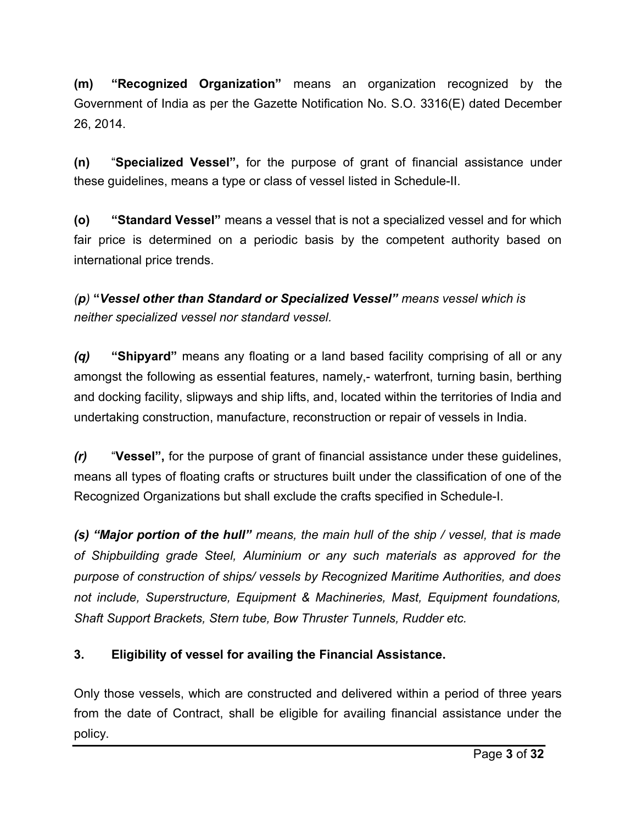**(m) "Recognized Organization"** means an organization recognized by the Government of India as per the Gazette Notification No. S.O. 3316(E) dated December 26, 2014.

**(n)** "**Specialized Vessel",** for the purpose of grant of financial assistance under these guidelines, means a type or class of vessel listed in Schedule-II.

**(o) "Standard Vessel"** means a vessel that is not a specialized vessel and for which fair price is determined on a periodic basis by the competent authority based on international price trends.

*(p)* **"***Vessel other than Standard or Specialized Vessel" means vessel which is neither specialized vessel nor standard vessel.*

*(q)* **"Shipyard"** means any floating or a land based facility comprising of all or any amongst the following as essential features, namely,- waterfront, turning basin, berthing and docking facility, slipways and ship lifts, and, located within the territories of India and undertaking construction, manufacture, reconstruction or repair of vessels in India.

*(r)* "**Vessel",** for the purpose of grant of financial assistance under these guidelines, means all types of floating crafts or structures built under the classification of one of the Recognized Organizations but shall exclude the crafts specified in Schedule-I.

*(s) "Major portion of the hull" means, the main hull of the ship / vessel, that is made of Shipbuilding grade Steel, Aluminium or any such materials as approved for the purpose of construction of ships/ vessels by Recognized Maritime Authorities, and does not include, Superstructure, Equipment & Machineries, Mast, Equipment foundations, Shaft Support Brackets, Stern tube, Bow Thruster Tunnels, Rudder etc.* 

## **3. Eligibility of vessel for availing the Financial Assistance.**

Only those vessels, which are constructed and delivered within a period of three years from the date of Contract, shall be eligible for availing financial assistance under the policy.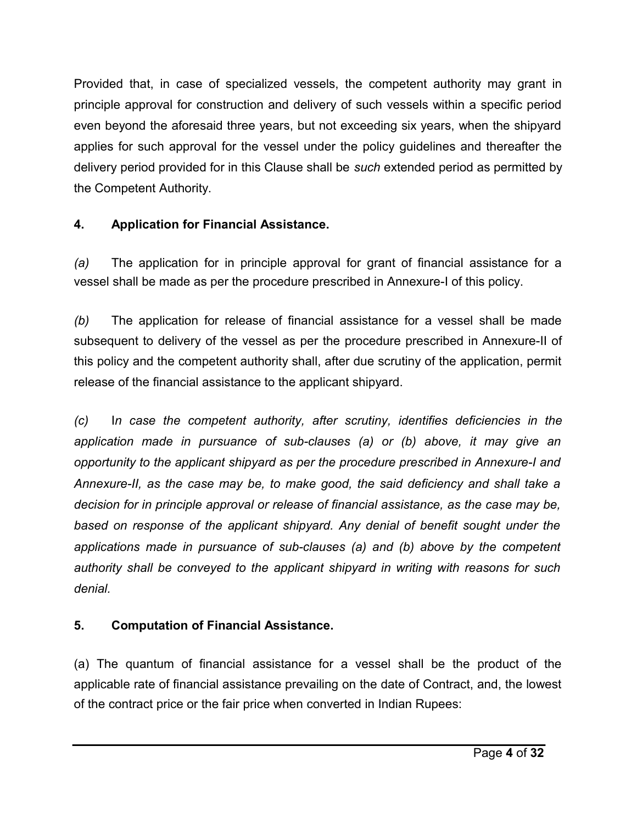Provided that, in case of specialized vessels, the competent authority may grant in principle approval for construction and delivery of such vessels within a specific period even beyond the aforesaid three years, but not exceeding six years, when the shipyard applies for such approval for the vessel under the policy guidelines and thereafter the delivery period provided for in this Clause shall be *such* extended period as permitted by the Competent Authority.

# **4. Application for Financial Assistance.**

*(a)* The application for in principle approval for grant of financial assistance for a vessel shall be made as per the procedure prescribed in Annexure-I of this policy.

*(b)* The application for release of financial assistance for a vessel shall be made subsequent to delivery of the vessel as per the procedure prescribed in Annexure-II of this policy and the competent authority shall, after due scrutiny of the application, permit release of the financial assistance to the applicant shipyard.

*(c)* I*n case the competent authority, after scrutiny, identifies deficiencies in the application made in pursuance of sub-clauses (a) or (b) above, it may give an opportunity to the applicant shipyard as per the procedure prescribed in Annexure-I and Annexure-II, as the case may be, to make good, the said deficiency and shall take a decision for in principle approval or release of financial assistance, as the case may be, based on response of the applicant shipyard. Any denial of benefit sought under the applications made in pursuance of sub-clauses (a) and (b) above by the competent authority shall be conveyed to the applicant shipyard in writing with reasons for such denial.* 

# **5. Computation of Financial Assistance.**

(a) The quantum of financial assistance for a vessel shall be the product of the applicable rate of financial assistance prevailing on the date of Contract, and, the lowest of the contract price or the fair price when converted in Indian Rupees: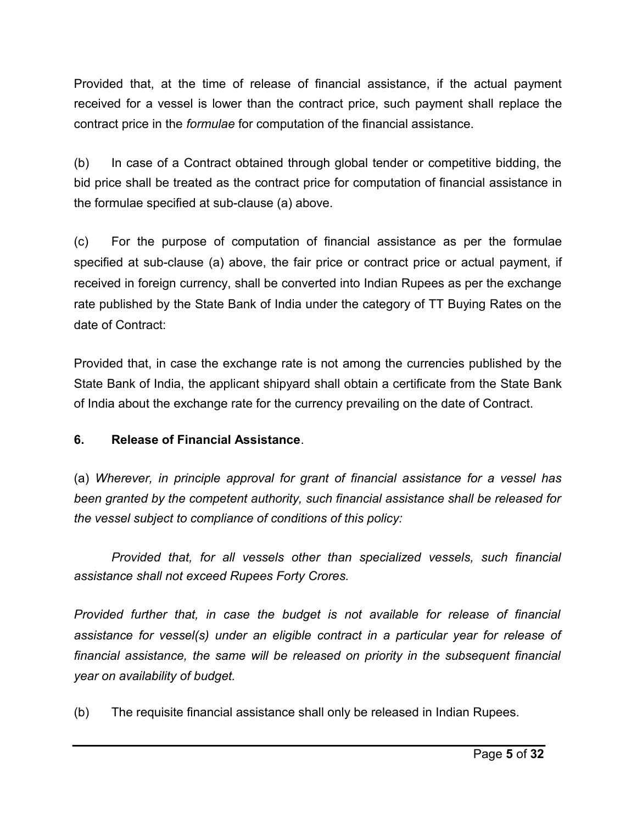Provided that, at the time of release of financial assistance, if the actual payment received for a vessel is lower than the contract price, such payment shall replace the contract price in the *formulae* for computation of the financial assistance.

(b) In case of a Contract obtained through global tender or competitive bidding, the bid price shall be treated as the contract price for computation of financial assistance in the formulae specified at sub-clause (a) above.

(c) For the purpose of computation of financial assistance as per the formulae specified at sub-clause (a) above, the fair price or contract price or actual payment, if received in foreign currency, shall be converted into Indian Rupees as per the exchange rate published by the State Bank of India under the category of TT Buying Rates on the date of Contract:

Provided that, in case the exchange rate is not among the currencies published by the State Bank of India, the applicant shipyard shall obtain a certificate from the State Bank of India about the exchange rate for the currency prevailing on the date of Contract.

#### **6. Release of Financial Assistance**.

(a) *Wherever, in principle approval for grant of financial assistance for a vessel has been granted by the competent authority, such financial assistance shall be released for the vessel subject to compliance of conditions of this policy:*

*Provided that, for all vessels other than specialized vessels, such financial assistance shall not exceed Rupees Forty Crores.*

*Provided further that, in case the budget is not available for release of financial assistance for vessel(s) under an eligible contract in a particular year for release of financial assistance, the same will be released on priority in the subsequent financial year on availability of budget.*

(b) The requisite financial assistance shall only be released in Indian Rupees.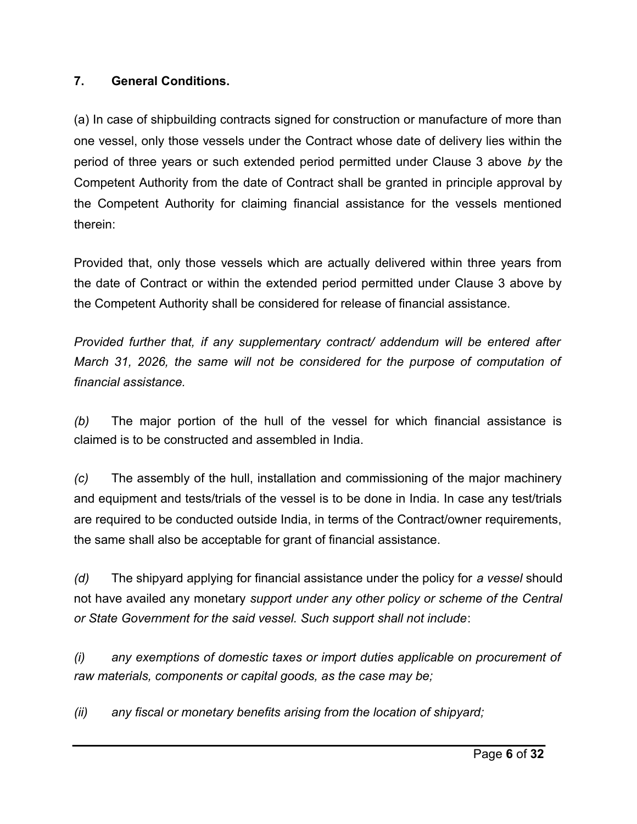## **7. General Conditions.**

(a) In case of shipbuilding contracts signed for construction or manufacture of more than one vessel, only those vessels under the Contract whose date of delivery lies within the period of three years or such extended period permitted under Clause 3 above *by* the Competent Authority from the date of Contract shall be granted in principle approval by the Competent Authority for claiming financial assistance for the vessels mentioned therein:

Provided that, only those vessels which are actually delivered within three years from the date of Contract or within the extended period permitted under Clause 3 above by the Competent Authority shall be considered for release of financial assistance.

*Provided further that, if any supplementary contract/ addendum will be entered after March 31, 2026, the same will not be considered for the purpose of computation of financial assistance.*

*(b)* The major portion of the hull of the vessel for which financial assistance is claimed is to be constructed and assembled in India.

*(c)* The assembly of the hull, installation and commissioning of the major machinery and equipment and tests/trials of the vessel is to be done in India. In case any test/trials are required to be conducted outside India, in terms of the Contract/owner requirements, the same shall also be acceptable for grant of financial assistance.

*(d)* The shipyard applying for financial assistance under the policy for *a vessel* should not have availed any monetary *support under any other policy or scheme of the Central or State Government for the said vessel. Such support shall not include*:

*(i) any exemptions of domestic taxes or import duties applicable on procurement of raw materials, components or capital goods, as the case may be;* 

*(ii) any fiscal or monetary benefits arising from the location of shipyard;*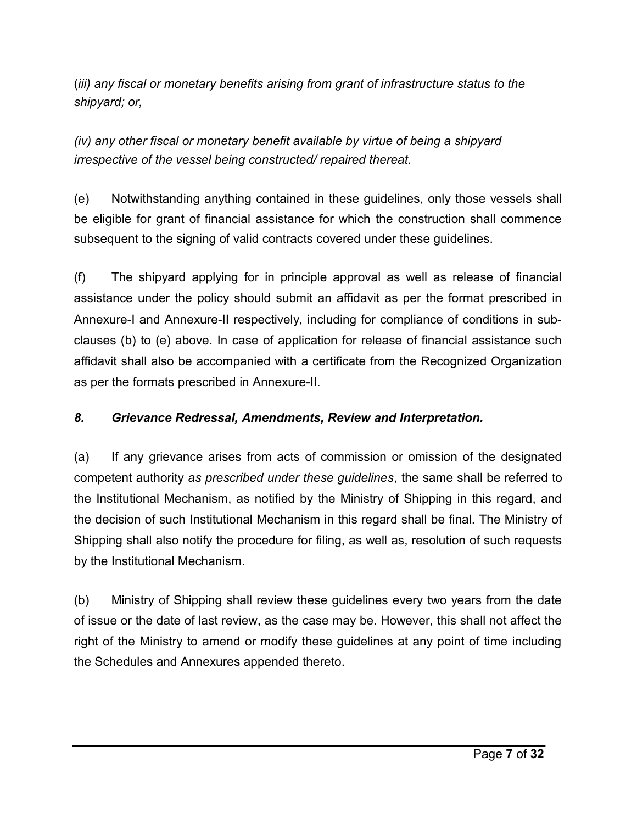(*iii) any fiscal or monetary benefits arising from grant of infrastructure status to the shipyard; or,*

*(iv) any other fiscal or monetary benefit available by virtue of being a shipyard irrespective of the vessel being constructed/ repaired thereat.*

(e) Notwithstanding anything contained in these guidelines, only those vessels shall be eligible for grant of financial assistance for which the construction shall commence subsequent to the signing of valid contracts covered under these guidelines.

(f) The shipyard applying for in principle approval as well as release of financial assistance under the policy should submit an affidavit as per the format prescribed in Annexure-I and Annexure-II respectively, including for compliance of conditions in subclauses (b) to (e) above. In case of application for release of financial assistance such affidavit shall also be accompanied with a certificate from the Recognized Organization as per the formats prescribed in Annexure-II.

## *8. Grievance Redressal, Amendments, Review and Interpretation.*

(a) If any grievance arises from acts of commission or omission of the designated competent authority *as prescribed under these guidelines*, the same shall be referred to the Institutional Mechanism, as notified by the Ministry of Shipping in this regard, and the decision of such Institutional Mechanism in this regard shall be final. The Ministry of Shipping shall also notify the procedure for filing, as well as, resolution of such requests by the Institutional Mechanism.

(b) Ministry of Shipping shall review these guidelines every two years from the date of issue or the date of last review, as the case may be. However, this shall not affect the right of the Ministry to amend or modify these guidelines at any point of time including the Schedules and Annexures appended thereto.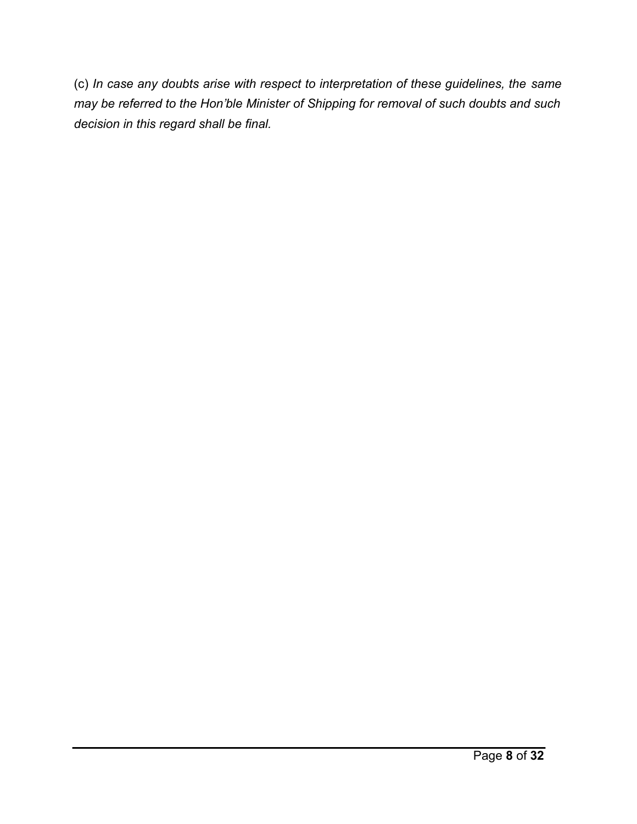(c) *In case any doubts arise with respect to interpretation of these guidelines, the same may be referred to the Hon'ble Minister of Shipping for removal of such doubts and such decision in this regard shall be final.*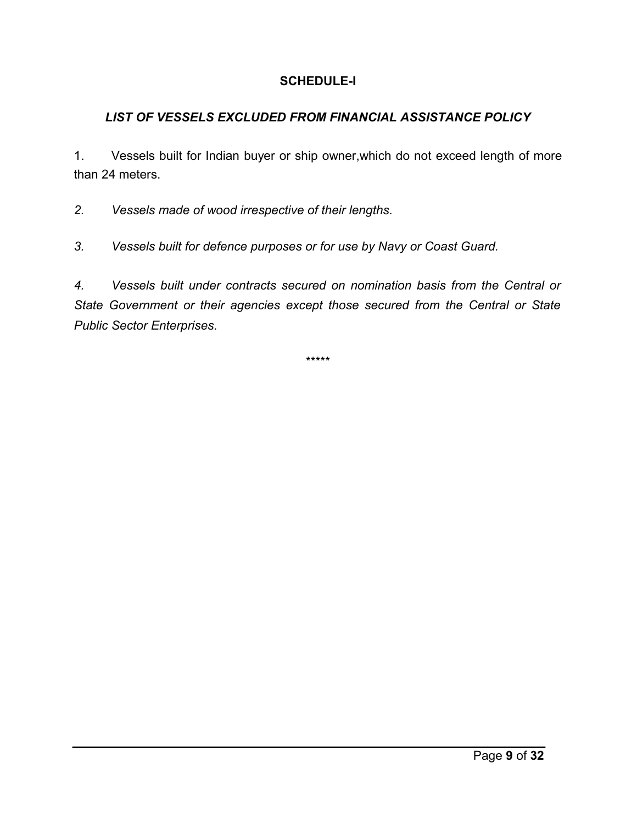## **SCHEDULE-I**

# *LIST OF VESSELS EXCLUDED FROM FINANCIAL ASSISTANCE POLICY*

1. Vessels built for Indian buyer or ship owner,which do not exceed length of more than 24 meters.

*2. Vessels made of wood irrespective of their lengths.* 

*3. Vessels built for defence purposes or for use by Navy or Coast Guard.* 

*4. Vessels built under contracts secured on nomination basis from the Central or State Government or their agencies except those secured from the Central or State Public Sector Enterprises.*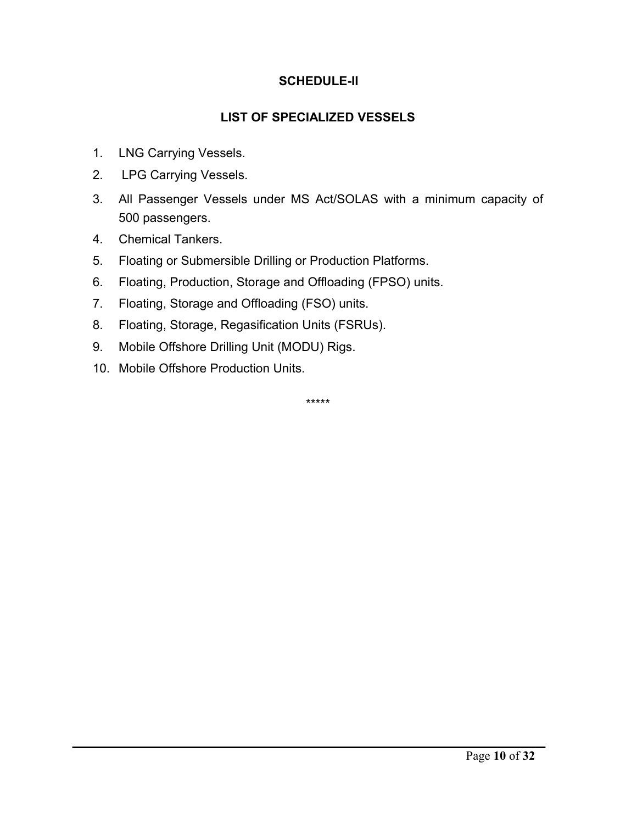### **SCHEDULE-II**

### **LIST OF SPECIALIZED VESSELS**

- 1. LNG Carrying Vessels.
- 2. LPG Carrying Vessels.
- 3. All Passenger Vessels under MS Act/SOLAS with a minimum capacity of 500 passengers.
- 4. Chemical Tankers.
- 5. Floating or Submersible Drilling or Production Platforms.
- 6. Floating, Production, Storage and Offloading (FPSO) units.
- 7. Floating, Storage and Offloading (FSO) units.
- 8. Floating, Storage, Regasification Units (FSRUs).
- 9. Mobile Offshore Drilling Unit (MODU) Rigs.
- 10. Mobile Offshore Production Units.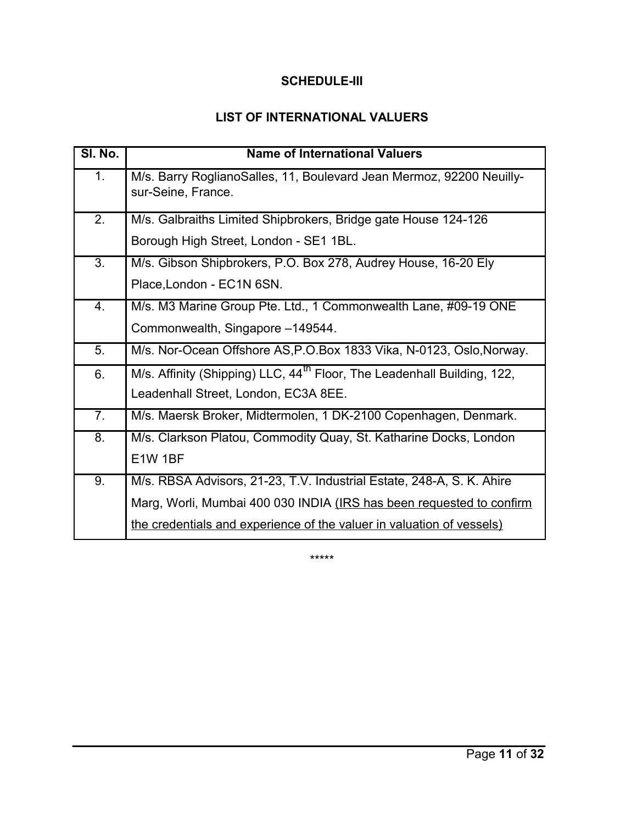## **SCHEDULE-III**

# **LIST OF INTERNATIONAL VALUERS**

| SI. No.          | <b>Name of International Valuers</b>                                                       |
|------------------|--------------------------------------------------------------------------------------------|
| 1.               | M/s. Barry RoglianoSalles, 11, Boulevard Jean Mermoz, 92200 Neuilly-<br>sur-Seine, France. |
| 2.               | M/s. Galbraiths Limited Shipbrokers, Bridge gate House 124-126                             |
|                  | Borough High Street, London - SE1 1BL.                                                     |
| $\overline{3}$ . | M/s. Gibson Shipbrokers, P.O. Box 278, Audrey House, 16-20 Ely                             |
|                  | Place, London - EC1N 6SN.                                                                  |
| 4.               | M/s. M3 Marine Group Pte. Ltd., 1 Commonwealth Lane, #09-19 ONE                            |
|                  | Commonwealth, Singapore -149544.                                                           |
| 5.               | M/s. Nor-Ocean Offshore AS, P.O.Box 1833 Vika, N-0123, Oslo, Norway.                       |
| 6.               | M/s. Affinity (Shipping) LLC, 44 <sup>th</sup> Floor, The Leadenhall Building, 122,        |
|                  | Leadenhall Street, London, EC3A 8EE.                                                       |
| 7.               | M/s. Maersk Broker, Midtermolen, 1 DK-2100 Copenhagen, Denmark.                            |
| 8.               | M/s. Clarkson Platou, Commodity Quay, St. Katharine Docks, London                          |
|                  | E1W 1BF                                                                                    |
| 9.               | M/s. RBSA Advisors, 21-23, T.V. Industrial Estate, 248-A, S. K. Ahire                      |
|                  | Marg, Worli, Mumbai 400 030 INDIA (IRS has been requested to confirm                       |
|                  | the credentials and experience of the valuer in valuation of vessels)                      |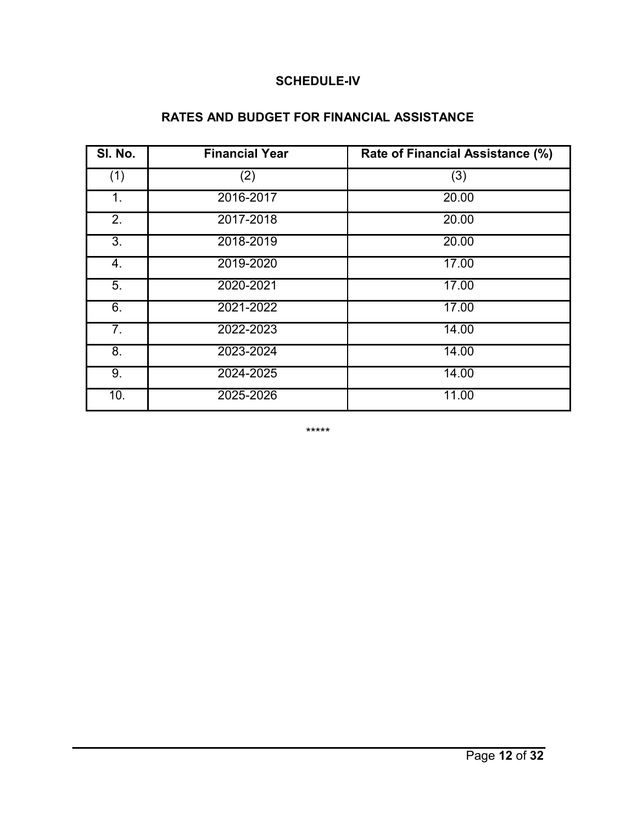#### **SCHEDULE-IV**

# **RATES AND BUDGET FOR FINANCIAL ASSISTANCE**

| SI. No. | <b>Financial Year</b> | Rate of Financial Assistance (%) |
|---------|-----------------------|----------------------------------|
| (1)     | (2)                   | (3)                              |
| 1.      | 2016-2017             | 20.00                            |
| 2.      | 2017-2018             | 20.00                            |
| 3.      | 2018-2019             | 20.00                            |
| 4.      | 2019-2020             | 17.00                            |
| 5.      | 2020-2021             | 17.00                            |
| 6.      | 2021-2022             | 17.00                            |
| 7.      | 2022-2023             | 14.00                            |
| 8.      | 2023-2024             | 14.00                            |
| 9.      | 2024-2025             | 14.00                            |
| 10.     | 2025-2026             | 11.00                            |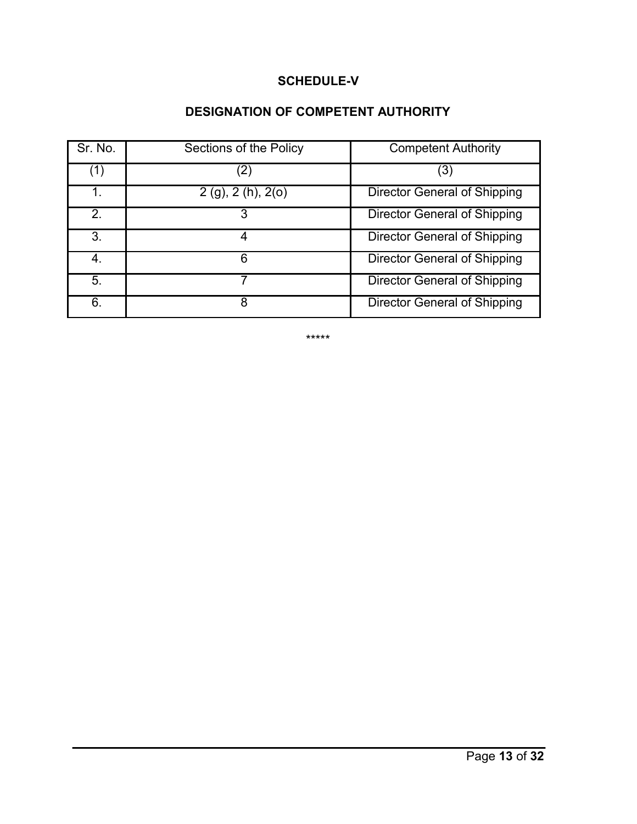### **SCHEDULE-V**

# **DESIGNATION OF COMPETENT AUTHORITY**

| Sr. No.          | Sections of the Policy   | <b>Competent Authority</b>          |
|------------------|--------------------------|-------------------------------------|
| $\left  \right $ | (2)                      | (3)                                 |
|                  | $2(g)$ , $2(h)$ , $2(o)$ | <b>Director General of Shipping</b> |
| 2.               |                          | Director General of Shipping        |
| 3.               | 4                        | <b>Director General of Shipping</b> |
| 4.               | 6                        | <b>Director General of Shipping</b> |
| 5.               |                          | <b>Director General of Shipping</b> |
| 6.               | 8                        | Director General of Shipping        |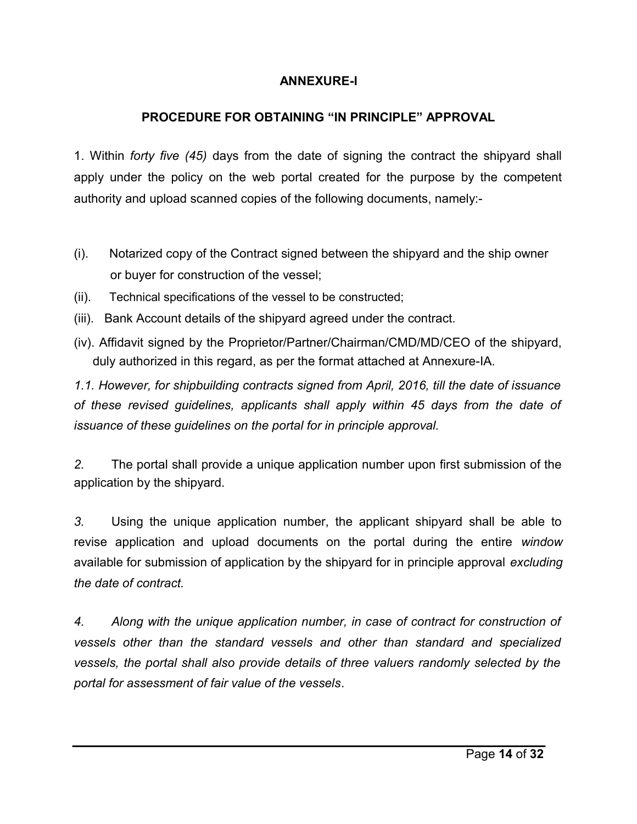## **ANNEXURE-I**

## **PROCEDURE FOR OBTAINING "IN PRINCIPLE" APPROVAL**

1. Within *forty five (45)* days from the date of signing the contract the shipyard shall apply under the policy on the web portal created for the purpose by the competent authority and upload scanned copies of the following documents, namely:-

- (i). Notarized copy of the Contract signed between the shipyard and the ship owner or buyer for construction of the vessel;
- (ii). Technical specifications of the vessel to be constructed;
- (iii). Bank Account details of the shipyard agreed under the contract.
- (iv). Affidavit signed by the Proprietor/Partner/Chairman/CMD/MD/CEO of the shipyard, duly authorized in this regard, as per the format attached at Annexure-IA.

*1.1. However, for shipbuilding contracts signed from April, 2016, till the date of issuance of these revised guidelines, applicants shall apply within 45 days from the date of issuance of these guidelines on the portal for in principle approval.*

*2.* The portal shall provide a unique application number upon first submission of the application by the shipyard.

*3.* Using the unique application number, the applicant shipyard shall be able to revise application and upload documents on the portal during the entire *window* available for submission of application by the shipyard for in principle approval *excluding the date of contract.* 

*4. Along with the unique application number, in case of contract for construction of vessels other than the standard vessels and other than standard and specialized vessels, the portal shall also provide details of three valuers randomly selected by the portal for assessment of fair value of the vessels*.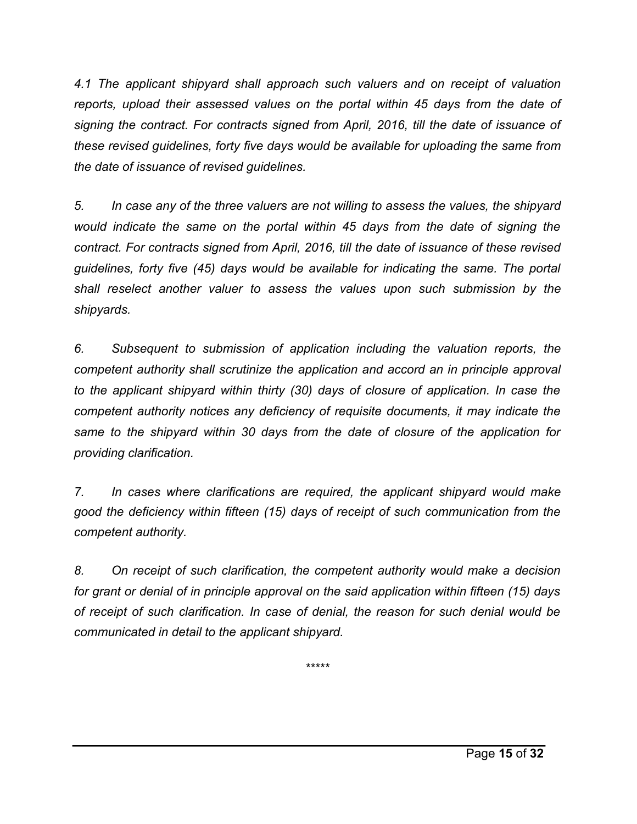*4.1 The applicant shipyard shall approach such valuers and on receipt of valuation reports, upload their assessed values on the portal within 45 days from the date of signing the contract. For contracts signed from April, 2016, till the date of issuance of these revised guidelines, forty five days would be available for uploading the same from the date of issuance of revised guidelines.*

*5. In case any of the three valuers are not willing to assess the values, the shipyard would indicate the same on the portal within 45 days from the date of signing the contract. For contracts signed from April, 2016, till the date of issuance of these revised guidelines, forty five (45) days would be available for indicating the same. The portal shall reselect another valuer to assess the values upon such submission by the shipyards.* 

*6. Subsequent to submission of application including the valuation reports, the competent authority shall scrutinize the application and accord an in principle approval to the applicant shipyard within thirty (30) days of closure of application. In case the competent authority notices any deficiency of requisite documents, it may indicate the same to the shipyard within 30 days from the date of closure of the application for providing clarification.* 

*7. In cases where clarifications are required, the applicant shipyard would make good the deficiency within fifteen (15) days of receipt of such communication from the competent authority.* 

*8. On receipt of such clarification, the competent authority would make a decision for grant or denial of in principle approval on the said application within fifteen (15) days of receipt of such clarification. In case of denial, the reason for such denial would be communicated in detail to the applicant shipyard.*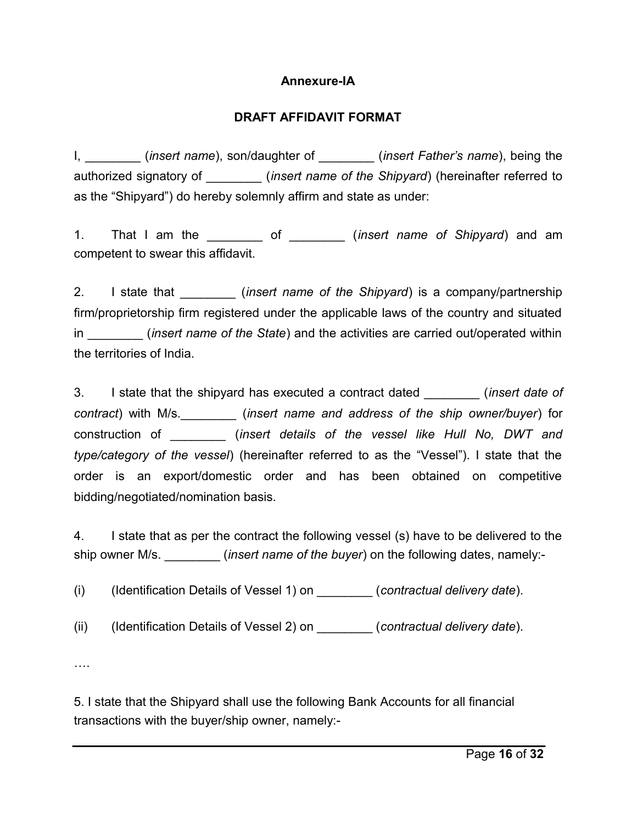### **Annexure-IA**

## **DRAFT AFFIDAVIT FORMAT**

I, *I* (*insert name*), son/daughter of *(insert Father's name*), being the authorized signatory of \_\_\_\_\_\_\_\_ (*insert name of the Shipyard*) (hereinafter referred to as the "Shipyard") do hereby solemnly affirm and state as under:

1. That I am the \_\_\_\_\_\_\_\_ of \_\_\_\_\_\_\_\_ (*insert name of Shipyard*) and am competent to swear this affidavit.

2. I state that *insert name of the Shipyard* is a company/partnership firm/proprietorship firm registered under the applicable laws of the country and situated in *insert name of the State*) and the activities are carried out/operated within the territories of India.

3. I state that the shipyard has executed a contract dated \_\_\_\_\_\_\_\_ (*insert date of contract*) with M/s.\_\_\_\_\_\_\_\_ (*insert name and address of the ship owner/buyer*) for construction of \_\_\_\_\_\_\_\_ (*insert details of the vessel like Hull No, DWT and type/category of the vessel*) (hereinafter referred to as the "Vessel"). I state that the order is an export/domestic order and has been obtained on competitive bidding/negotiated/nomination basis.

4. I state that as per the contract the following vessel (s) have to be delivered to the ship owner M/s. *insert name of the buyer* on the following dates, namely:-

(i) (Identification Details of Vessel 1) on \_\_\_\_\_\_\_\_ (*contractual delivery date*).

(ii) (Identification Details of Vessel 2) on \_\_\_\_\_\_\_\_ (*contractual delivery date*).

….

5. I state that the Shipyard shall use the following Bank Accounts for all financial transactions with the buyer/ship owner, namely:-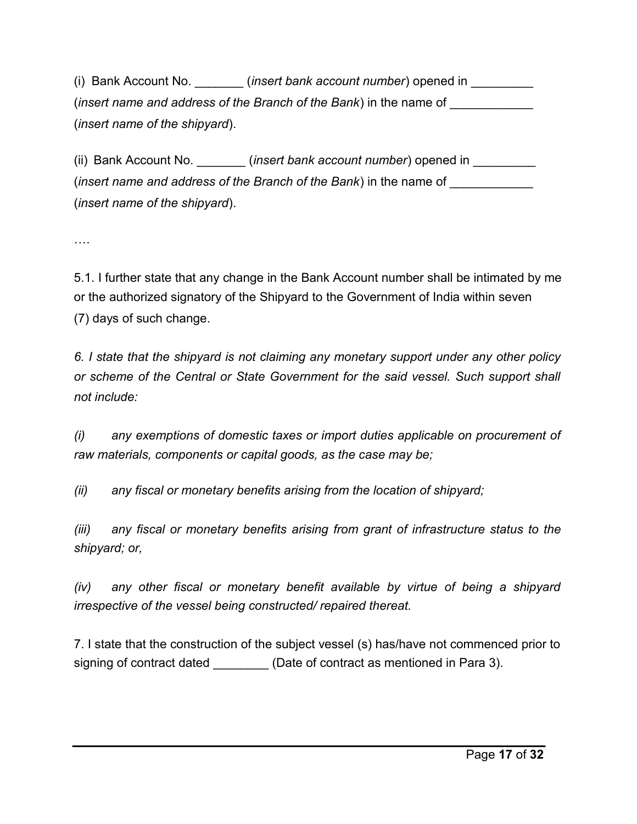(i) Bank Account No. \_\_\_\_\_\_\_ (*insert bank account number*) opened in \_\_\_\_\_\_\_\_\_ (*insert name and address of the Branch of the Bank*) in the name of \_\_\_\_\_\_\_\_\_\_\_\_ (*insert name of the shipyard*).

(ii) Bank Account No. \_\_\_\_\_\_\_\_(*insert bank account number*) opened in \_\_\_\_\_\_\_\_\_\_ (*insert name and address of the Branch of the Bank*) in the name of (*insert name of the shipyard*).

….

5.1. I further state that any change in the Bank Account number shall be intimated by me or the authorized signatory of the Shipyard to the Government of India within seven (7) days of such change.

*6. I state that the shipyard is not claiming any monetary support under any other policy or scheme of the Central or State Government for the said vessel. Such support shall not include:*

*(i) any exemptions of domestic taxes or import duties applicable on procurement of raw materials, components or capital goods, as the case may be;* 

*(ii) any fiscal or monetary benefits arising from the location of shipyard;* 

*(iii) any fiscal or monetary benefits arising from grant of infrastructure status to the shipyard; or,* 

*(iv) any other fiscal or monetary benefit available by virtue of being a shipyard irrespective of the vessel being constructed/ repaired thereat.* 

7. I state that the construction of the subject vessel (s) has/have not commenced prior to signing of contract dated \_\_\_\_\_\_\_\_\_\_ (Date of contract as mentioned in Para 3).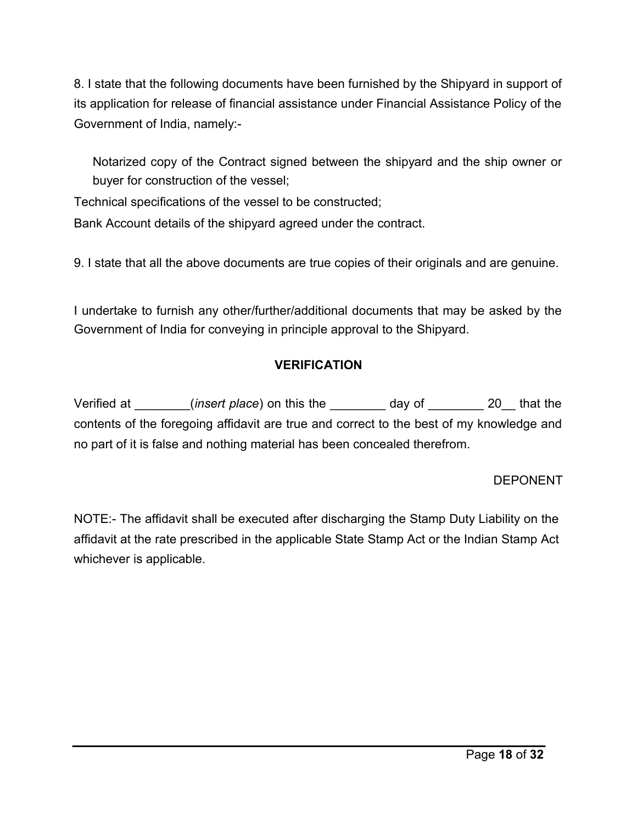8. I state that the following documents have been furnished by the Shipyard in support of its application for release of financial assistance under Financial Assistance Policy of the Government of India, namely:-

Notarized copy of the Contract signed between the shipyard and the ship owner or buyer for construction of the vessel;

Technical specifications of the vessel to be constructed;

Bank Account details of the shipyard agreed under the contract.

9. I state that all the above documents are true copies of their originals and are genuine.

I undertake to furnish any other/further/additional documents that may be asked by the Government of India for conveying in principle approval to the Shipyard.

## **VERIFICATION**

Verified at \_\_\_\_\_\_\_\_(*insert place*) on this the \_\_\_\_\_\_\_\_ day of \_\_\_\_\_\_\_\_ 20\_\_ that the contents of the foregoing affidavit are true and correct to the best of my knowledge and no part of it is false and nothing material has been concealed therefrom.

#### DEPONENT

NOTE:- The affidavit shall be executed after discharging the Stamp Duty Liability on the affidavit at the rate prescribed in the applicable State Stamp Act or the Indian Stamp Act whichever is applicable.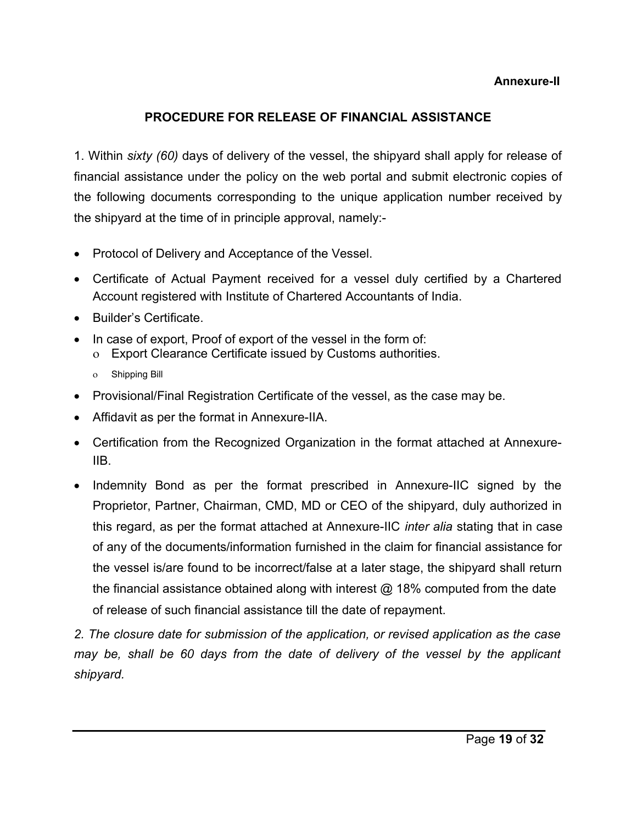#### **Annexure-II**

## **PROCEDURE FOR RELEASE OF FINANCIAL ASSISTANCE**

1. Within *sixty (60)* days of delivery of the vessel, the shipyard shall apply for release of financial assistance under the policy on the web portal and submit electronic copies of the following documents corresponding to the unique application number received by the shipyard at the time of in principle approval, namely:-

- Protocol of Delivery and Acceptance of the Vessel.
- Certificate of Actual Payment received for a vessel duly certified by a Chartered Account registered with Institute of Chartered Accountants of India.
- Builder's Certificate.
- In case of export, Proof of export of the vessel in the form of:
	- Export Clearance Certificate issued by Customs authorities.
	- Shipping Bill
- Provisional/Final Registration Certificate of the vessel, as the case may be.
- Affidavit as per the format in Annexure-IIA.
- Certification from the Recognized Organization in the format attached at Annexure-IIB.
- Indemnity Bond as per the format prescribed in Annexure-IIC signed by the Proprietor, Partner, Chairman, CMD, MD or CEO of the shipyard, duly authorized in this regard, as per the format attached at Annexure-IIC *inter alia* stating that in case of any of the documents/information furnished in the claim for financial assistance for the vessel is/are found to be incorrect/false at a later stage, the shipyard shall return the financial assistance obtained along with interest @ 18% computed from the date of release of such financial assistance till the date of repayment.

*2. The closure date for submission of the application, or revised application as the case may be, shall be 60 days from the date of delivery of the vessel by the applicant shipyard.*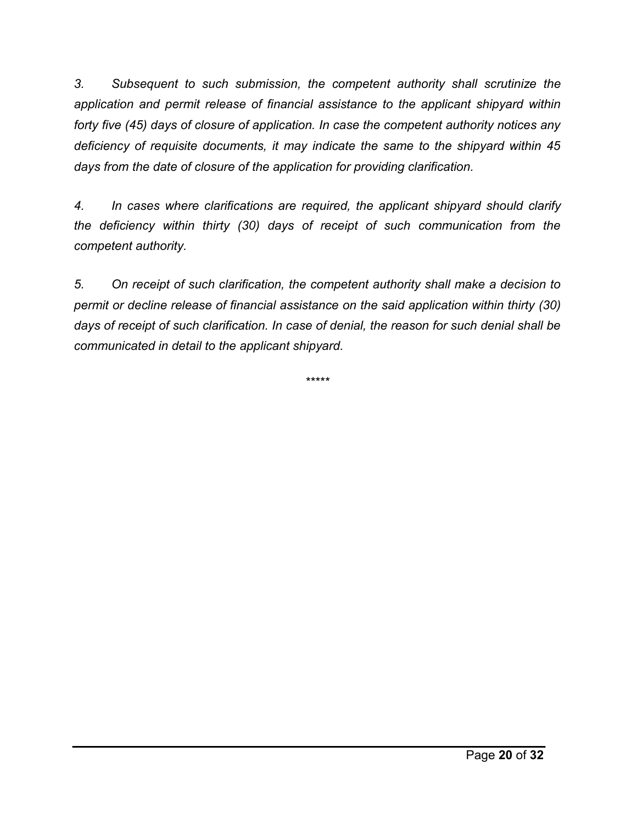*3. Subsequent to such submission, the competent authority shall scrutinize the application and permit release of financial assistance to the applicant shipyard within forty five (45) days of closure of application. In case the competent authority notices any deficiency of requisite documents, it may indicate the same to the shipyard within 45 days from the date of closure of the application for providing clarification.* 

*4. In cases where clarifications are required, the applicant shipyard should clarify the deficiency within thirty (30) days of receipt of such communication from the competent authority.* 

*5. On receipt of such clarification, the competent authority shall make a decision to permit or decline release of financial assistance on the said application within thirty (30) days of receipt of such clarification. In case of denial, the reason for such denial shall be communicated in detail to the applicant shipyard.*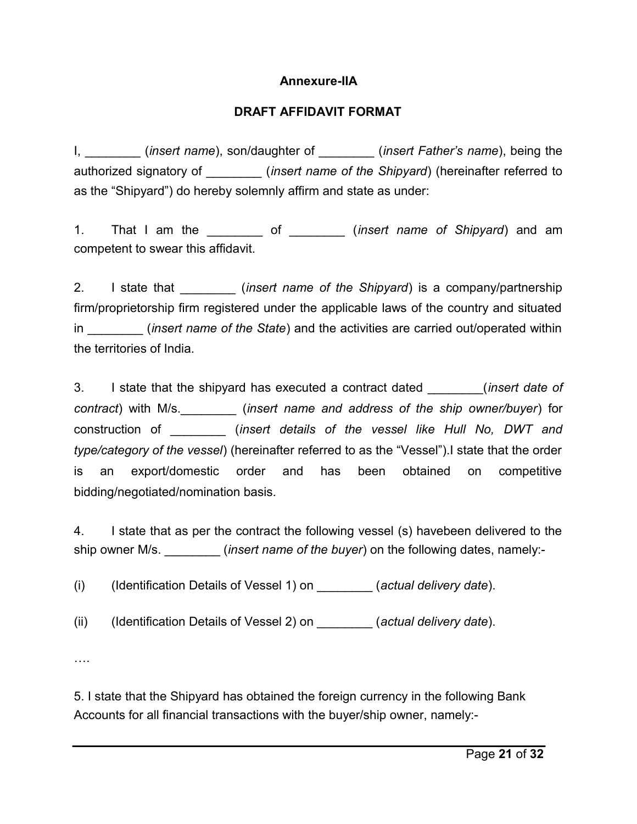#### **Annexure-IIA**

#### **DRAFT AFFIDAVIT FORMAT**

I, \_\_\_\_\_\_\_\_ (*insert name*), son/daughter of \_\_\_\_\_\_\_\_ (*insert Father's name*), being the authorized signatory of \_\_\_\_\_\_\_\_ (*insert name of the Shipyard*) (hereinafter referred to as the "Shipyard") do hereby solemnly affirm and state as under:

1. That I am the \_\_\_\_\_\_\_\_ of \_\_\_\_\_\_\_\_ (*insert name of Shipyard*) and am competent to swear this affidavit.

2. I state that *insert name of the Shipyard* is a company/partnership firm/proprietorship firm registered under the applicable laws of the country and situated in *insert name of the State*) and the activities are carried out/operated within the territories of India.

3. I state that the shipyard has executed a contract dated \_\_\_\_\_\_\_\_(*insert date of contract*) with M/s.\_\_\_\_\_\_\_\_ (*insert name and address of the ship owner/buyer*) for construction of \_\_\_\_\_\_\_\_ (*insert details of the vessel like Hull No, DWT and type/category of the vessel*) (hereinafter referred to as the "Vessel").I state that the order is an export/domestic order and has been obtained on competitive bidding/negotiated/nomination basis.

4. I state that as per the contract the following vessel (s) havebeen delivered to the ship owner M/s. \_\_\_\_\_\_\_\_ (*insert name of the buyer*) on the following dates, namely:-

(i) (Identification Details of Vessel 1) on \_\_\_\_\_\_\_\_ (*actual delivery date*).

(ii) (Identification Details of Vessel 2) on \_\_\_\_\_\_\_\_ (*actual delivery date*).

….

5. I state that the Shipyard has obtained the foreign currency in the following Bank Accounts for all financial transactions with the buyer/ship owner, namely:-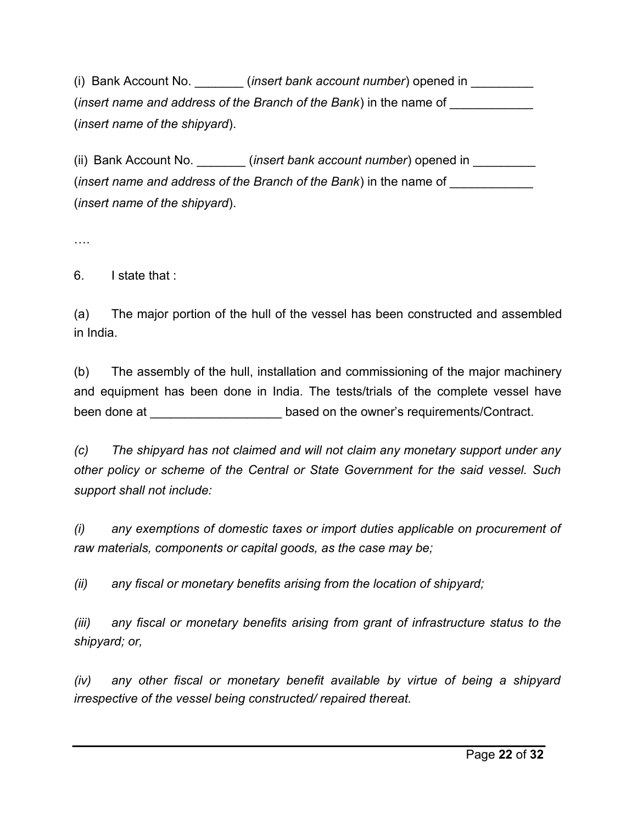(i) Bank Account No. \_\_\_\_\_\_\_ (*insert bank account number*) opened in \_\_\_\_\_\_\_\_\_ (*insert name and address of the Branch of the Bank*) in the name of \_\_\_\_\_\_\_\_\_\_\_\_ (*insert name of the shipyard*).

(ii) Bank Account No. *insert bank account number*) opened in (*insert name and address of the Branch of the Bank*) in the name of (*insert name of the shipyard*).

….

6. I state that :

(a) The major portion of the hull of the vessel has been constructed and assembled in India.

(b) The assembly of the hull, installation and commissioning of the major machinery and equipment has been done in India. The tests/trials of the complete vessel have been done at \_\_\_\_\_\_\_\_\_\_\_\_\_\_\_\_\_\_\_\_\_\_\_\_\_based on the owner's requirements/Contract.

*(c) The shipyard has not claimed and will not claim any monetary support under any other policy or scheme of the Central or State Government for the said vessel. Such support shall not include:* 

*(i) any exemptions of domestic taxes or import duties applicable on procurement of raw materials, components or capital goods, as the case may be;* 

*(ii) any fiscal or monetary benefits arising from the location of shipyard;* 

*(iii) any fiscal or monetary benefits arising from grant of infrastructure status to the shipyard; or,* 

*(iv) any other fiscal or monetary benefit available by virtue of being a shipyard irrespective of the vessel being constructed/ repaired thereat.*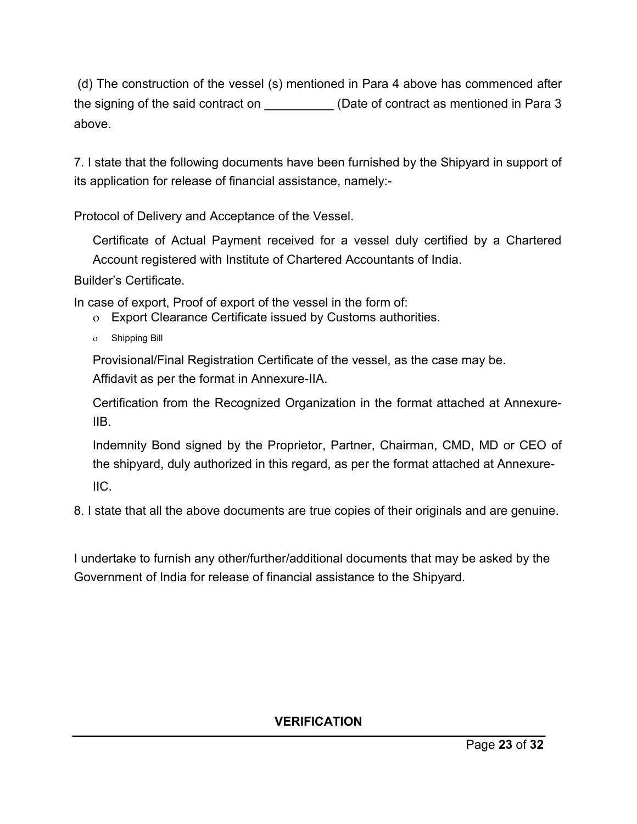(d) The construction of the vessel (s) mentioned in Para 4 above has commenced after the signing of the said contract on \_\_\_\_\_\_\_\_\_\_\_\_ (Date of contract as mentioned in Para 3 above.

7. I state that the following documents have been furnished by the Shipyard in support of its application for release of financial assistance, namely:-

Protocol of Delivery and Acceptance of the Vessel.

Certificate of Actual Payment received for a vessel duly certified by a Chartered Account registered with Institute of Chartered Accountants of India.

Builder's Certificate.

In case of export, Proof of export of the vessel in the form of:

- Export Clearance Certificate issued by Customs authorities.
- Shipping Bill

Provisional/Final Registration Certificate of the vessel, as the case may be. Affidavit as per the format in Annexure-IIA.

Certification from the Recognized Organization in the format attached at Annexure-IIB.

Indemnity Bond signed by the Proprietor, Partner, Chairman, CMD, MD or CEO of the shipyard, duly authorized in this regard, as per the format attached at Annexure-IIC.

8. I state that all the above documents are true copies of their originals and are genuine.

I undertake to furnish any other/further/additional documents that may be asked by the Government of India for release of financial assistance to the Shipyard.

## **VERIFICATION**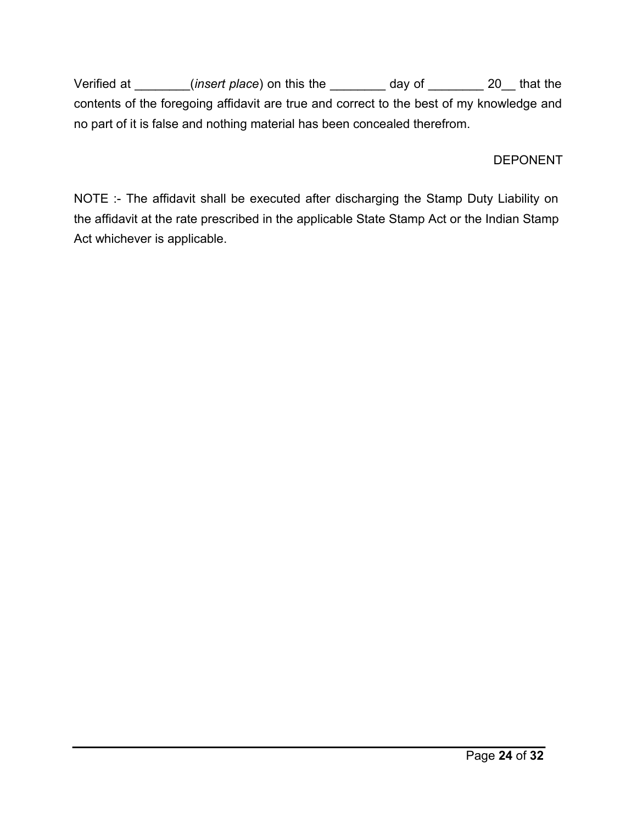Verified at \_\_\_\_\_\_\_\_(*insert place*) on this the \_\_\_\_\_\_\_\_ day of \_\_\_\_\_\_\_\_ 20\_\_ that the contents of the foregoing affidavit are true and correct to the best of my knowledge and no part of it is false and nothing material has been concealed therefrom.

## DEPONENT

NOTE :- The affidavit shall be executed after discharging the Stamp Duty Liability on the affidavit at the rate prescribed in the applicable State Stamp Act or the Indian Stamp Act whichever is applicable.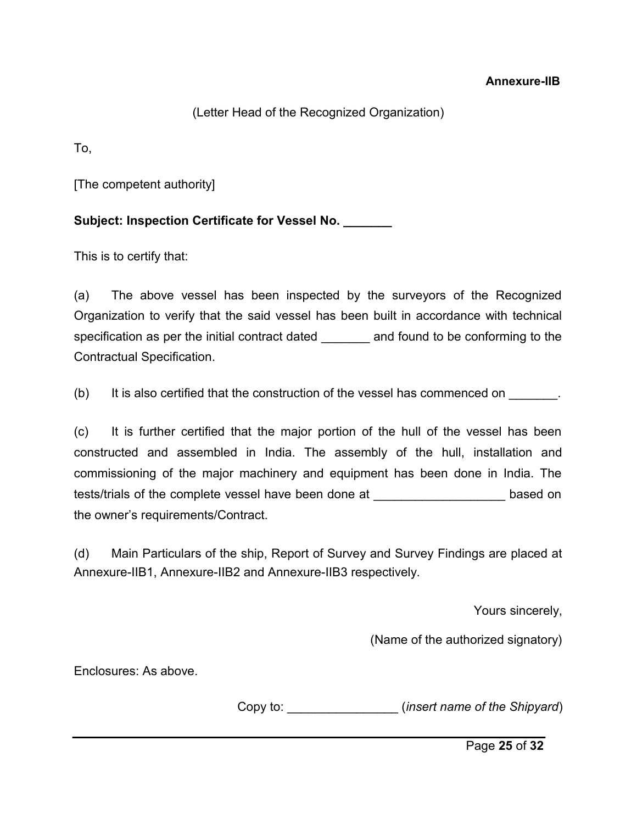#### **Annexure-IIB**

### (Letter Head of the Recognized Organization)

To,

[The competent authority]

**Subject: Inspection Certificate for Vessel No. \_\_\_\_\_\_\_**

This is to certify that:

(a) The above vessel has been inspected by the surveyors of the Recognized Organization to verify that the said vessel has been built in accordance with technical specification as per the initial contract dated \_\_\_\_\_\_\_\_ and found to be conforming to the Contractual Specification.

(b) It is also certified that the construction of the vessel has commenced on

(c) It is further certified that the major portion of the hull of the vessel has been constructed and assembled in India. The assembly of the hull, installation and commissioning of the major machinery and equipment has been done in India. The tests/trials of the complete vessel have been done at \_\_\_\_\_\_\_\_\_\_\_\_\_\_\_\_\_\_\_\_\_\_\_\_\_ based on the owner's requirements/Contract.

(d) Main Particulars of the ship, Report of Survey and Survey Findings are placed at Annexure-IIB1, Annexure-IIB2 and Annexure-IIB3 respectively.

Yours sincerely,

(Name of the authorized signatory)

Enclosures: As above.

Copy to: \_\_\_\_\_\_\_\_\_\_\_\_\_\_\_\_ (*insert name of the Shipyard*)

Page **25** of **32**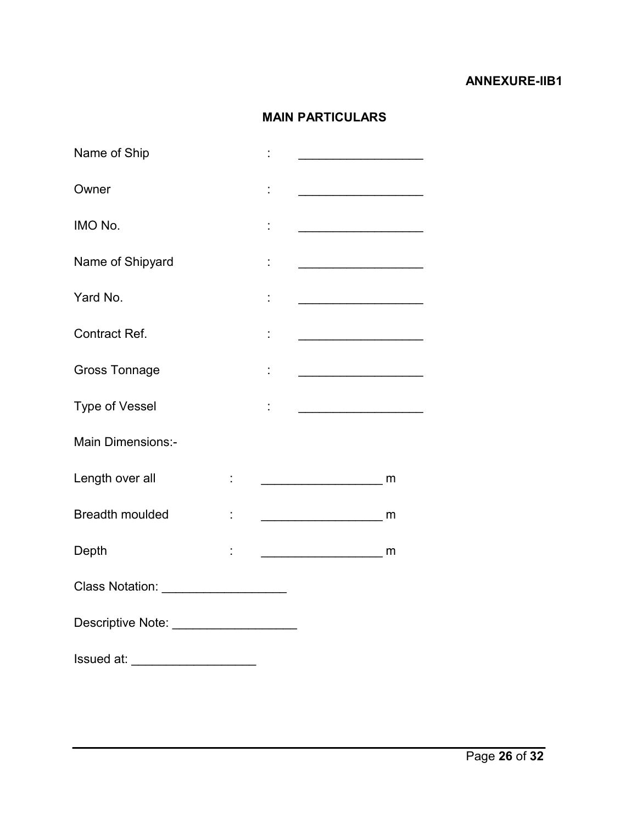#### **ANNEXURE-IIB1**

# **MAIN PARTICULARS**

| Name of Ship                          |    |                                                                                                                      |  |
|---------------------------------------|----|----------------------------------------------------------------------------------------------------------------------|--|
| Owner                                 |    |                                                                                                                      |  |
| IMO No.                               |    |                                                                                                                      |  |
| Name of Shipyard                      | t  |                                                                                                                      |  |
| Yard No.                              |    | <u> 1989 - Johann Barbara, martin amerikan basar dan basa dan basar dalam basa dalam basa dalam basa dalam basa </u> |  |
| Contract Ref.                         | t, | <u> 1989 - Johann Barbara, martxa a</u>                                                                              |  |
| <b>Gross Tonnage</b>                  |    |                                                                                                                      |  |
| Type of Vessel                        |    |                                                                                                                      |  |
| <b>Main Dimensions:-</b>              |    |                                                                                                                      |  |
| Length over all                       |    |                                                                                                                      |  |
| <b>Breadth moulded</b>                |    | $\overline{\phantom{a}}$ m                                                                                           |  |
| Depth                                 |    |                                                                                                                      |  |
| Class Notation: ____________________  |    |                                                                                                                      |  |
| Descriptive Note: ___________________ |    |                                                                                                                      |  |
|                                       |    |                                                                                                                      |  |
| lssued at: ______________________     |    |                                                                                                                      |  |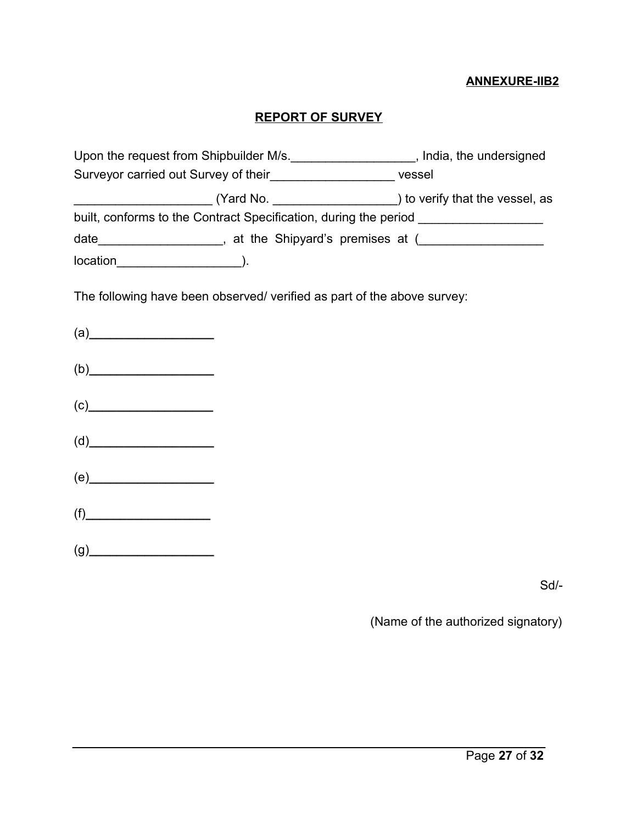#### **ANNEXURE-IIB2**

## **REPORT OF SURVEY**

| Upon the request from Shipbuilder M/s. _____________________, India, the undersigned                                                                                                                                                                  |  |  |  |  |
|-------------------------------------------------------------------------------------------------------------------------------------------------------------------------------------------------------------------------------------------------------|--|--|--|--|
| Surveyor carried out Survey of their_________________________ vessel                                                                                                                                                                                  |  |  |  |  |
|                                                                                                                                                                                                                                                       |  |  |  |  |
| built, conforms to the Contract Specification, during the period ________________                                                                                                                                                                     |  |  |  |  |
| date______________________, at the Shipyard's premises at (_____________________                                                                                                                                                                      |  |  |  |  |
| $location$ (0.000)                                                                                                                                                                                                                                    |  |  |  |  |
| The following have been observed/ verified as part of the above survey:                                                                                                                                                                               |  |  |  |  |
| (a)                                                                                                                                                                                                                                                   |  |  |  |  |
| (b)                                                                                                                                                                                                                                                   |  |  |  |  |
| $(c)$ and $(c)$ and $(c)$ and $(c)$ and $(c)$ and $(c)$ and $(c)$ and $(c)$ and $(c)$ and $(c)$ and $(c)$ and $(c)$ and $(c)$ and $(c)$ and $(c)$ and $(c)$ and $(c)$ and $(c)$ and $(c)$ and $(c)$ and $(c)$ and $(c)$ and $(c)$ and $(c)$ and $(c)$ |  |  |  |  |
| $(d)$ and $\overline{\phantom{a} }$                                                                                                                                                                                                                   |  |  |  |  |

(e)**\_\_\_\_\_\_\_\_\_\_\_\_\_\_\_\_\_\_**

(f)**\_\_\_\_\_\_\_\_\_\_\_\_\_\_\_\_\_\_**

(g)**\_\_\_\_\_\_\_\_\_\_\_\_\_\_\_\_\_\_**

Sd/-

(Name of the authorized signatory)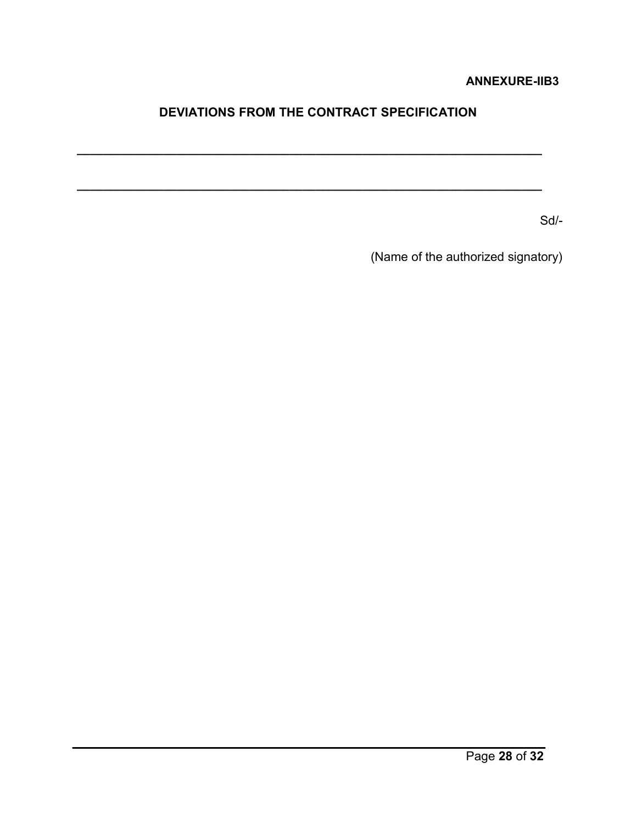#### **ANNEXURE-IIB3**

# **DEVIATIONS FROM THE CONTRACT SPECIFICATION**

**\_\_\_\_\_\_\_\_\_\_\_\_\_\_\_\_\_\_\_\_\_\_\_\_\_\_\_\_\_\_\_\_\_\_\_\_\_\_\_\_\_\_\_\_\_\_\_\_\_\_\_\_\_\_\_\_\_\_\_\_\_\_\_\_\_\_\_\_\_\_**

**\_\_\_\_\_\_\_\_\_\_\_\_\_\_\_\_\_\_\_\_\_\_\_\_\_\_\_\_\_\_\_\_\_\_\_\_\_\_\_\_\_\_\_\_\_\_\_\_\_\_\_\_\_\_\_\_\_\_\_\_\_\_\_\_\_\_\_\_\_\_**

Sd/-

(Name of the authorized signatory)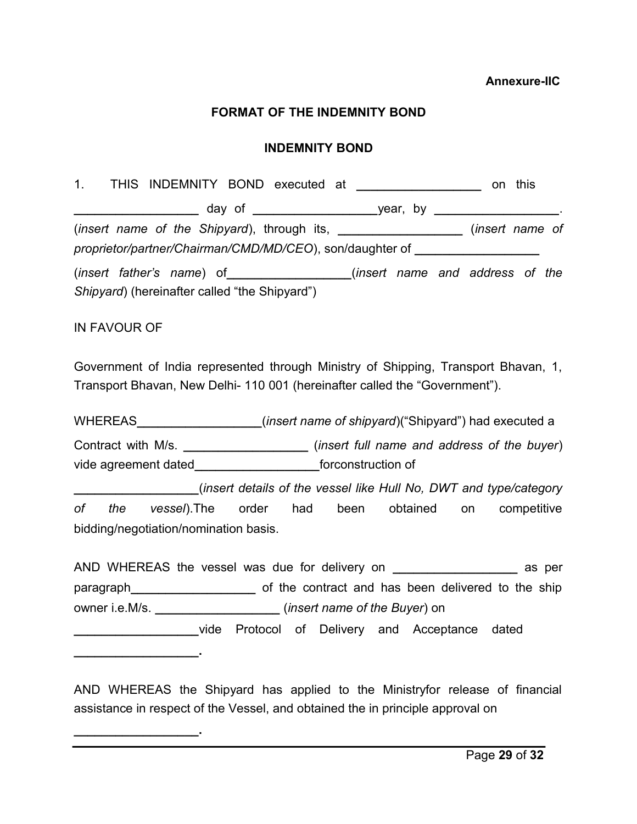#### **FORMAT OF THE INDEMNITY BOND**

#### **INDEMNITY BOND**

|  |  |                                                                                  |  |  | on this         |  |
|--|--|----------------------------------------------------------------------------------|--|--|-----------------|--|
|  |  |                                                                                  |  |  |                 |  |
|  |  |                                                                                  |  |  | (insert name of |  |
|  |  | proprietor/partner/Chairman/CMD/MD/CEO), son/daughter of _______________________ |  |  |                 |  |
|  |  | (insert father's name) of _______________(insert name and address of the         |  |  |                 |  |
|  |  | Shipyard) (hereinafter called "the Shipyard")                                    |  |  |                 |  |
|  |  |                                                                                  |  |  |                 |  |

#### IN FAVOUR OF

**\_\_\_\_\_\_\_\_\_\_\_\_\_\_\_\_\_\_.**

**\_\_\_\_\_\_\_\_\_\_\_\_\_\_\_\_\_\_.**

Government of India represented through Ministry of Shipping, Transport Bhavan, 1, Transport Bhavan, New Delhi- 110 001 (hereinafter called the "Government").

WHEREAS**\_\_\_\_\_\_\_\_\_\_\_\_\_\_\_\_\_\_**(*insert name of shipyard*)("Shipyard") had executed a Contract with M/s. **\_\_\_\_\_\_\_\_\_\_\_\_\_\_\_\_\_\_** (*insert full name and address of the buyer*) vide agreement dated**\_\_\_\_\_\_\_\_\_\_\_\_\_\_\_\_\_\_**forconstruction of

**\_\_\_\_\_\_\_\_\_\_\_\_\_\_\_\_\_\_**(*insert details of the vessel like Hull No, DWT and type/category of the vessel*).The order had been obtained on competitive bidding/negotiation/nomination basis.

AND WHEREAS the vessel was due for delivery on **\_\_\_\_\_\_\_\_\_\_\_\_\_\_\_\_\_\_** as per paragraph**\_\_\_\_\_\_\_\_\_\_\_\_\_\_\_\_\_\_** of the contract and has been delivered to the ship owner i.e.M/s. **\_\_\_\_\_\_\_\_\_\_\_\_\_\_\_\_\_\_** (*insert name of the Buyer*) on

**\_\_\_\_\_\_\_\_\_\_\_\_\_\_\_\_\_\_**vide Protocol of Delivery and Acceptance dated

AND WHEREAS the Shipyard has applied to the Ministryfor release of financial assistance in respect of the Vessel, and obtained the in principle approval on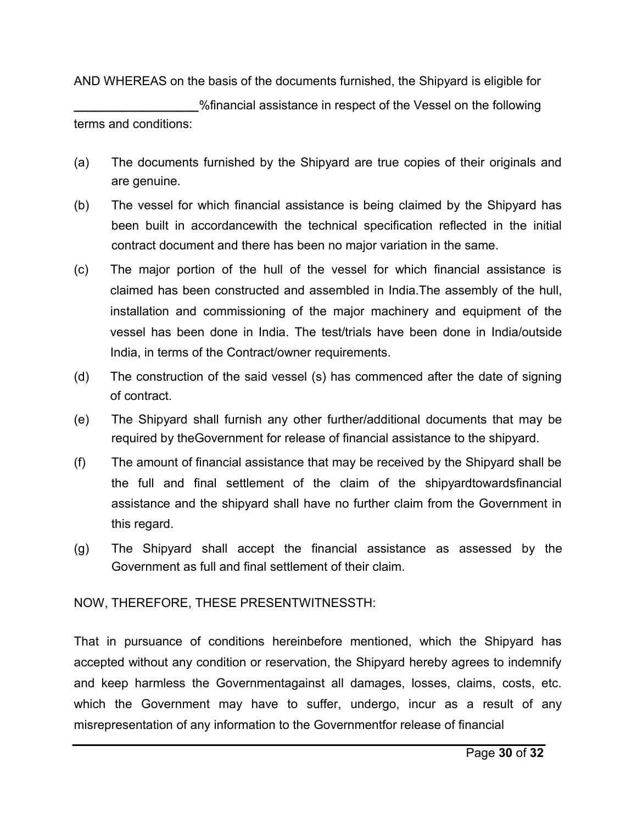AND WHEREAS on the basis of the documents furnished, the Shipyard is eligible for

**\_\_\_\_\_\_\_\_\_\_\_\_\_\_\_\_\_\_**%financial assistance in respect of the Vessel on the following terms and conditions:

- (a) The documents furnished by the Shipyard are true copies of their originals and are genuine.
- (b) The vessel for which financial assistance is being claimed by the Shipyard has been built in accordancewith the technical specification reflected in the initial contract document and there has been no major variation in the same.
- (c) The major portion of the hull of the vessel for which financial assistance is claimed has been constructed and assembled in India.The assembly of the hull, installation and commissioning of the major machinery and equipment of the vessel has been done in India. The test/trials have been done in India/outside India, in terms of the Contract/owner requirements.
- (d) The construction of the said vessel (s) has commenced after the date of signing of contract.
- (e) The Shipyard shall furnish any other further/additional documents that may be required by theGovernment for release of financial assistance to the shipyard.
- (f) The amount of financial assistance that may be received by the Shipyard shall be the full and final settlement of the claim of the shipyardtowardsfinancial assistance and the shipyard shall have no further claim from the Government in this regard.
- (g) The Shipyard shall accept the financial assistance as assessed by the Government as full and final settlement of their claim.

NOW, THEREFORE, THESE PRESENTWITNESSTH:

That in pursuance of conditions hereinbefore mentioned, which the Shipyard has accepted without any condition or reservation, the Shipyard hereby agrees to indemnify and keep harmless the Governmentagainst all damages, losses, claims, costs, etc. which the Government may have to suffer, undergo, incur as a result of any misrepresentation of any information to the Governmentfor release of financial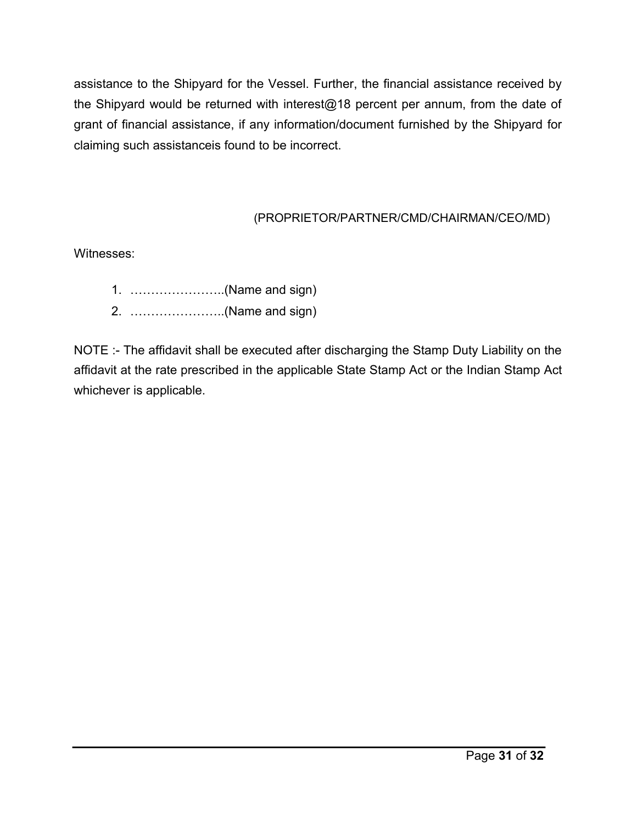assistance to the Shipyard for the Vessel. Further, the financial assistance received by the Shipyard would be returned with interest@18 percent per annum, from the date of grant of financial assistance, if any information/document furnished by the Shipyard for claiming such assistanceis found to be incorrect.

# (PROPRIETOR/PARTNER/CMD/CHAIRMAN/CEO/MD)

Witnesses:

- 1. …………………..(Name and sign)
- 2. …………………..(Name and sign)

NOTE :- The affidavit shall be executed after discharging the Stamp Duty Liability on the affidavit at the rate prescribed in the applicable State Stamp Act or the Indian Stamp Act whichever is applicable.